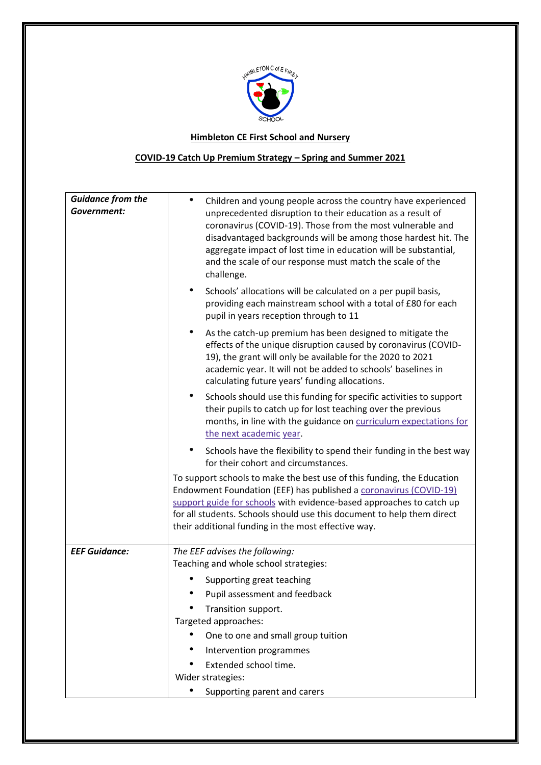

## **Himbleton CE First School and Nursery**

## **COVID-19 Catch Up Premium Strategy – Spring and Summer 2021**

| <b>Guidance from the</b> |                                                                                                                                                                                                                                                                                                                                                                                                           |  |  |  |
|--------------------------|-----------------------------------------------------------------------------------------------------------------------------------------------------------------------------------------------------------------------------------------------------------------------------------------------------------------------------------------------------------------------------------------------------------|--|--|--|
| Government:              | Children and young people across the country have experienced<br>unprecedented disruption to their education as a result of<br>coronavirus (COVID-19). Those from the most vulnerable and<br>disadvantaged backgrounds will be among those hardest hit. The<br>aggregate impact of lost time in education will be substantial,<br>and the scale of our response must match the scale of the<br>challenge. |  |  |  |
|                          | Schools' allocations will be calculated on a per pupil basis,<br>providing each mainstream school with a total of £80 for each<br>pupil in years reception through to 11                                                                                                                                                                                                                                  |  |  |  |
|                          | As the catch-up premium has been designed to mitigate the<br>$\bullet$<br>effects of the unique disruption caused by coronavirus (COVID-<br>19), the grant will only be available for the 2020 to 2021<br>academic year. It will not be added to schools' baselines in<br>calculating future years' funding allocations.                                                                                  |  |  |  |
|                          | Schools should use this funding for specific activities to support<br>$\bullet$<br>their pupils to catch up for lost teaching over the previous<br>months, in line with the guidance on curriculum expectations for<br>the next academic year.                                                                                                                                                            |  |  |  |
|                          | Schools have the flexibility to spend their funding in the best way<br>$\bullet$                                                                                                                                                                                                                                                                                                                          |  |  |  |
|                          | for their cohort and circumstances.<br>To support schools to make the best use of this funding, the Education<br>Endowment Foundation (EEF) has published a coronavirus (COVID-19)<br>support guide for schools with evidence-based approaches to catch up<br>for all students. Schools should use this document to help them direct<br>their additional funding in the most effective way.               |  |  |  |
| <b>EEF Guidance:</b>     | The EEF advises the following:                                                                                                                                                                                                                                                                                                                                                                            |  |  |  |
|                          | Teaching and whole school strategies:                                                                                                                                                                                                                                                                                                                                                                     |  |  |  |
|                          | Supporting great teaching                                                                                                                                                                                                                                                                                                                                                                                 |  |  |  |
|                          | Pupil assessment and feedback                                                                                                                                                                                                                                                                                                                                                                             |  |  |  |
|                          | Transition support.<br>Targeted approaches:                                                                                                                                                                                                                                                                                                                                                               |  |  |  |
|                          | One to one and small group tuition                                                                                                                                                                                                                                                                                                                                                                        |  |  |  |
|                          | Intervention programmes                                                                                                                                                                                                                                                                                                                                                                                   |  |  |  |
|                          | Extended school time.                                                                                                                                                                                                                                                                                                                                                                                     |  |  |  |
|                          | Wider strategies:                                                                                                                                                                                                                                                                                                                                                                                         |  |  |  |
|                          | Supporting parent and carers                                                                                                                                                                                                                                                                                                                                                                              |  |  |  |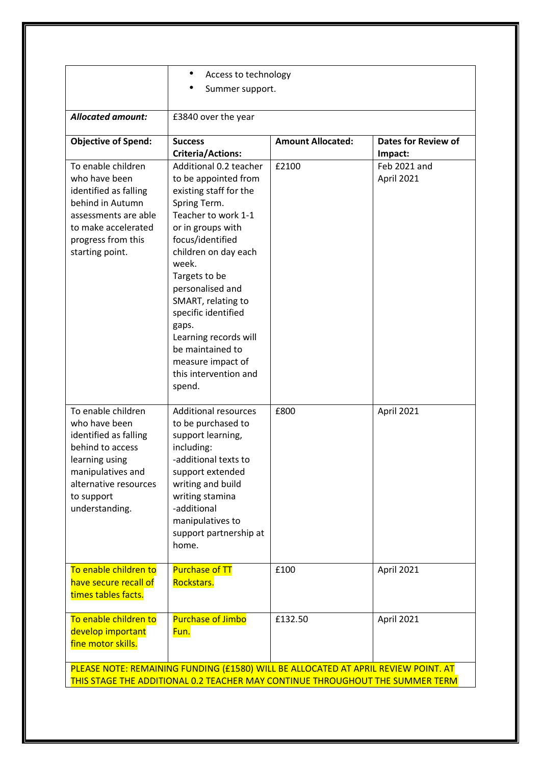|                                                                                                                                                                                  | ٠<br>Access to technology<br>Summer support.                                                                                                                                                                                                                                                                                                                                              |                          |                                       |  |
|----------------------------------------------------------------------------------------------------------------------------------------------------------------------------------|-------------------------------------------------------------------------------------------------------------------------------------------------------------------------------------------------------------------------------------------------------------------------------------------------------------------------------------------------------------------------------------------|--------------------------|---------------------------------------|--|
| <b>Allocated amount:</b>                                                                                                                                                         | £3840 over the year                                                                                                                                                                                                                                                                                                                                                                       |                          |                                       |  |
| <b>Objective of Spend:</b>                                                                                                                                                       | <b>Success</b><br><b>Criteria/Actions:</b>                                                                                                                                                                                                                                                                                                                                                | <b>Amount Allocated:</b> | <b>Dates for Review of</b><br>Impact: |  |
| To enable children<br>who have been<br>identified as falling<br>behind in Autumn<br>assessments are able<br>to make accelerated<br>progress from this<br>starting point.         | Additional 0.2 teacher<br>to be appointed from<br>existing staff for the<br>Spring Term.<br>Teacher to work 1-1<br>or in groups with<br>focus/identified<br>children on day each<br>week.<br>Targets to be<br>personalised and<br>SMART, relating to<br>specific identified<br>gaps.<br>Learning records will<br>be maintained to<br>measure impact of<br>this intervention and<br>spend. | £2100                    | Feb 2021 and<br>April 2021            |  |
| To enable children<br>who have been<br>identified as falling<br>behind to access<br>learning using<br>manipulatives and<br>alternative resources<br>to support<br>understanding. | <b>Additional resources</b><br>to be purchased to<br>support learning,<br>including:<br>-additional texts to<br>support extended<br>writing and build<br>writing stamina<br>-additional<br>manipulatives to<br>support partnership at<br>home.                                                                                                                                            | £800                     | April 2021                            |  |
| To enable children to<br>have secure recall of<br>times tables facts.                                                                                                            | <b>Purchase of TT</b><br>Rockstars.                                                                                                                                                                                                                                                                                                                                                       | £100                     | April 2021                            |  |
| To enable children to<br>develop important<br>fine motor skills.                                                                                                                 | <b>Purchase of Jimbo</b><br>Fun.                                                                                                                                                                                                                                                                                                                                                          | £132.50                  | April 2021                            |  |
| PLEASE NOTE: REMAINING FUNDING (£1580) WILL BE ALLOCATED AT APRIL REVIEW POINT. AT<br>THIS STAGE THE ADDITIONAL 0.2 TEACHER MAY CONTINUE THROUGHOUT THE SUMMER TERM              |                                                                                                                                                                                                                                                                                                                                                                                           |                          |                                       |  |